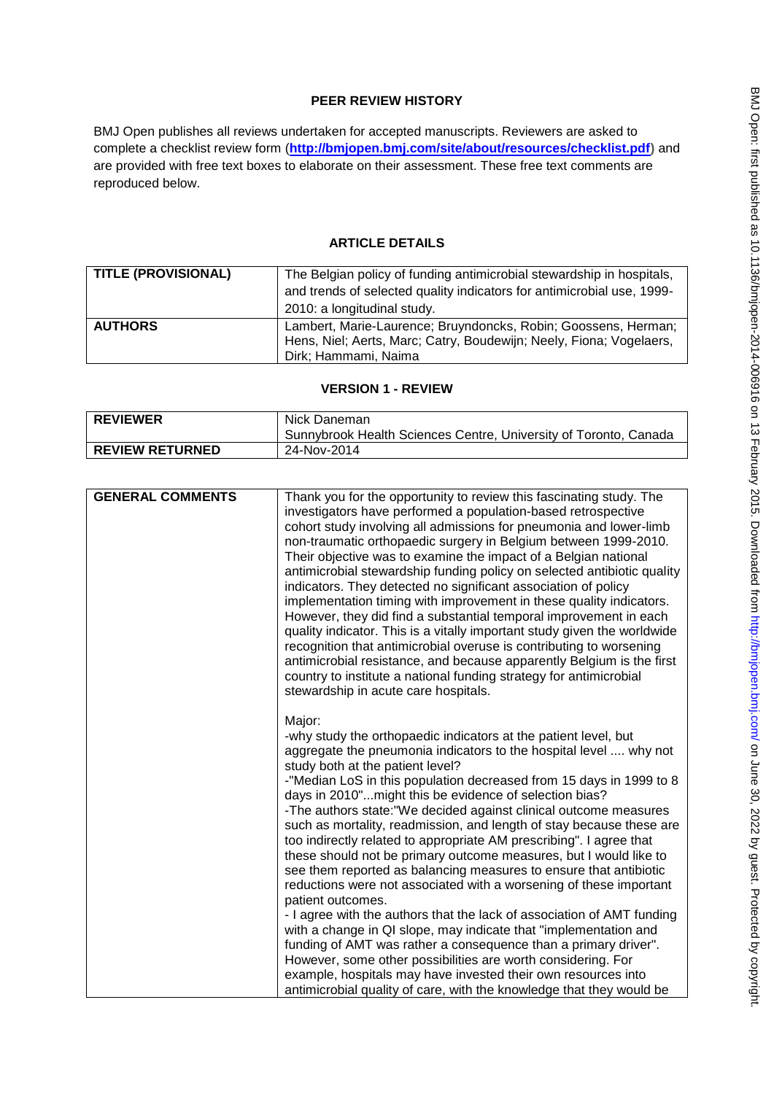# **PEER REVIEW HISTORY**

BMJ Open publishes all reviews undertaken for accepted manuscripts. Reviewers are asked to complete a checklist review form (**[http://bmjopen.bmj.com/site/about/resources/checklist.pdf\)](http://bmjopen.bmj.com/site/about/resources/checklist.pdf)** and are provided with free text boxes to elaborate on their assessment. These free text comments are reproduced below.

# **ARTICLE DETAILS**

| <b>TITLE (PROVISIONAL)</b> | The Belgian policy of funding antimicrobial stewardship in hospitals,  |
|----------------------------|------------------------------------------------------------------------|
|                            | and trends of selected quality indicators for antimicrobial use, 1999- |
|                            | 2010: a longitudinal study.                                            |
| <b>AUTHORS</b>             | Lambert, Marie-Laurence; Bruyndoncks, Robin; Goossens, Herman;         |
|                            | Hens, Niel; Aerts, Marc; Catry, Boudewijn; Neely, Fiona; Vogelaers,    |
|                            | Dirk; Hammami, Naima                                                   |

# **VERSION 1 - REVIEW**

| <b>REVIEWER</b>        | Nick Daneman<br>Sunnybrook Health Sciences Centre, University of Toronto, Canada |
|------------------------|----------------------------------------------------------------------------------|
| <b>REVIEW RETURNED</b> | 24-Nov-2014                                                                      |

| <b>GENERAL COMMENTS</b> | Thank you for the opportunity to review this fascinating study. The<br>investigators have performed a population-based retrospective<br>cohort study involving all admissions for pneumonia and lower-limb<br>non-traumatic orthopaedic surgery in Belgium between 1999-2010.<br>Their objective was to examine the impact of a Belgian national<br>antimicrobial stewardship funding policy on selected antibiotic quality<br>indicators. They detected no significant association of policy<br>implementation timing with improvement in these quality indicators.<br>However, they did find a substantial temporal improvement in each<br>quality indicator. This is a vitally important study given the worldwide<br>recognition that antimicrobial overuse is contributing to worsening<br>antimicrobial resistance, and because apparently Belgium is the first<br>country to institute a national funding strategy for antimicrobial<br>stewardship in acute care hospitals.                                                                                                                                                                                                                     |
|-------------------------|---------------------------------------------------------------------------------------------------------------------------------------------------------------------------------------------------------------------------------------------------------------------------------------------------------------------------------------------------------------------------------------------------------------------------------------------------------------------------------------------------------------------------------------------------------------------------------------------------------------------------------------------------------------------------------------------------------------------------------------------------------------------------------------------------------------------------------------------------------------------------------------------------------------------------------------------------------------------------------------------------------------------------------------------------------------------------------------------------------------------------------------------------------------------------------------------------------|
|                         | Major:<br>-why study the orthopaedic indicators at the patient level, but<br>aggregate the pneumonia indicators to the hospital level  why not<br>study both at the patient level?<br>-"Median LoS in this population decreased from 15 days in 1999 to 8<br>days in 2010" might this be evidence of selection bias?<br>-The authors state: "We decided against clinical outcome measures<br>such as mortality, readmission, and length of stay because these are<br>too indirectly related to appropriate AM prescribing". I agree that<br>these should not be primary outcome measures, but I would like to<br>see them reported as balancing measures to ensure that antibiotic<br>reductions were not associated with a worsening of these important<br>patient outcomes.<br>- I agree with the authors that the lack of association of AMT funding<br>with a change in QI slope, may indicate that "implementation and<br>funding of AMT was rather a consequence than a primary driver".<br>However, some other possibilities are worth considering. For<br>example, hospitals may have invested their own resources into<br>antimicrobial quality of care, with the knowledge that they would be |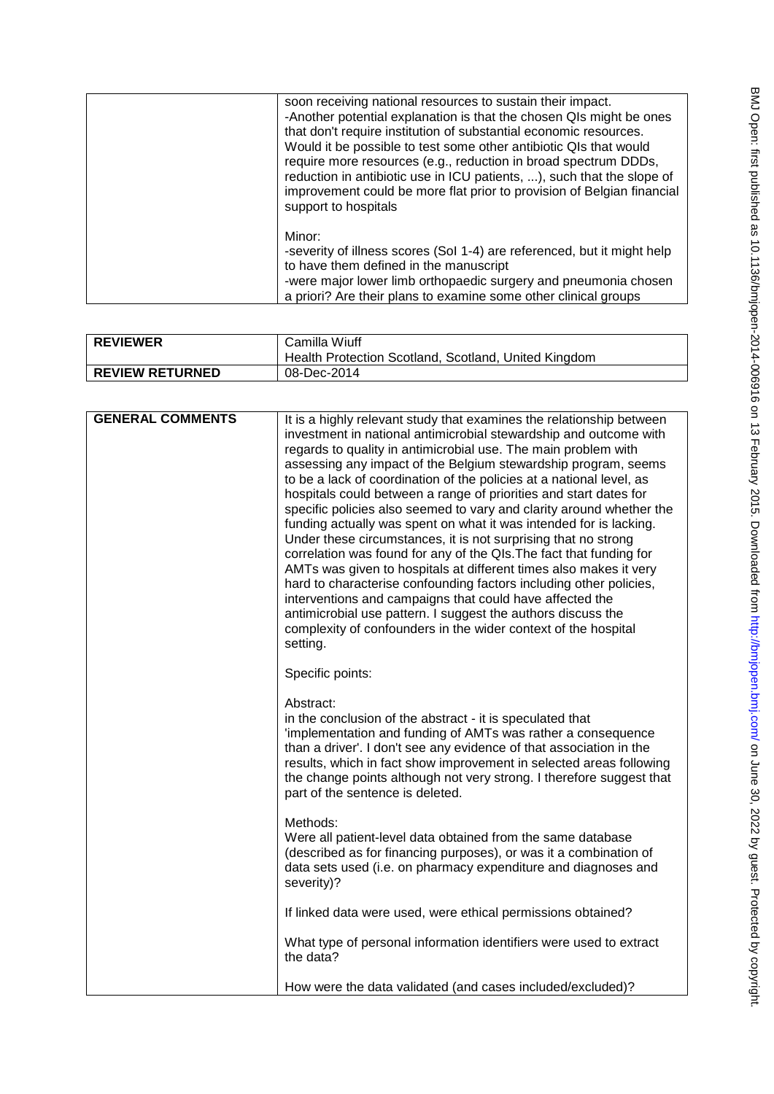| soon receiving national resources to sustain their impact.<br>-Another potential explanation is that the chosen QIs might be ones<br>that don't require institution of substantial economic resources.<br>Would it be possible to test some other antibiotic QIs that would<br>require more resources (e.g., reduction in broad spectrum DDDs,<br>reduction in antibiotic use in ICU patients, ), such that the slope of<br>improvement could be more flat prior to provision of Belgian financial<br>support to hospitals |
|----------------------------------------------------------------------------------------------------------------------------------------------------------------------------------------------------------------------------------------------------------------------------------------------------------------------------------------------------------------------------------------------------------------------------------------------------------------------------------------------------------------------------|
| Minor:<br>-severity of illness scores (Sol 1-4) are referenced, but it might help<br>to have them defined in the manuscript<br>-were major lower limb orthopaedic surgery and pneumonia chosen<br>a priori? Are their plans to examine some other clinical groups                                                                                                                                                                                                                                                          |

| <b>REVIEWER</b>        | Camilla Wiuff<br>Health Protection Scotland, Scotland, United Kingdom |
|------------------------|-----------------------------------------------------------------------|
| <b>REVIEW RETURNED</b> | 08-Dec-2014                                                           |

| <b>GENERAL COMMENTS</b> | It is a highly relevant study that examines the relationship between<br>investment in national antimicrobial stewardship and outcome with<br>regards to quality in antimicrobial use. The main problem with<br>assessing any impact of the Belgium stewardship program, seems<br>to be a lack of coordination of the policies at a national level, as<br>hospitals could between a range of priorities and start dates for<br>specific policies also seemed to vary and clarity around whether the<br>funding actually was spent on what it was intended for is lacking.<br>Under these circumstances, it is not surprising that no strong<br>correlation was found for any of the QIs. The fact that funding for<br>AMTs was given to hospitals at different times also makes it very<br>hard to characterise confounding factors including other policies,<br>interventions and campaigns that could have affected the<br>antimicrobial use pattern. I suggest the authors discuss the<br>complexity of confounders in the wider context of the hospital<br>setting. |
|-------------------------|------------------------------------------------------------------------------------------------------------------------------------------------------------------------------------------------------------------------------------------------------------------------------------------------------------------------------------------------------------------------------------------------------------------------------------------------------------------------------------------------------------------------------------------------------------------------------------------------------------------------------------------------------------------------------------------------------------------------------------------------------------------------------------------------------------------------------------------------------------------------------------------------------------------------------------------------------------------------------------------------------------------------------------------------------------------------|
|                         | Specific points:                                                                                                                                                                                                                                                                                                                                                                                                                                                                                                                                                                                                                                                                                                                                                                                                                                                                                                                                                                                                                                                       |
|                         | Abstract:<br>in the conclusion of the abstract - it is speculated that<br>'implementation and funding of AMTs was rather a consequence<br>than a driver'. I don't see any evidence of that association in the<br>results, which in fact show improvement in selected areas following<br>the change points although not very strong. I therefore suggest that<br>part of the sentence is deleted.                                                                                                                                                                                                                                                                                                                                                                                                                                                                                                                                                                                                                                                                       |
|                         | Methods:<br>Were all patient-level data obtained from the same database<br>(described as for financing purposes), or was it a combination of<br>data sets used (i.e. on pharmacy expenditure and diagnoses and<br>severity)?                                                                                                                                                                                                                                                                                                                                                                                                                                                                                                                                                                                                                                                                                                                                                                                                                                           |
|                         | If linked data were used, were ethical permissions obtained?                                                                                                                                                                                                                                                                                                                                                                                                                                                                                                                                                                                                                                                                                                                                                                                                                                                                                                                                                                                                           |
|                         | What type of personal information identifiers were used to extract<br>the data?                                                                                                                                                                                                                                                                                                                                                                                                                                                                                                                                                                                                                                                                                                                                                                                                                                                                                                                                                                                        |
|                         | How were the data validated (and cases included/excluded)?                                                                                                                                                                                                                                                                                                                                                                                                                                                                                                                                                                                                                                                                                                                                                                                                                                                                                                                                                                                                             |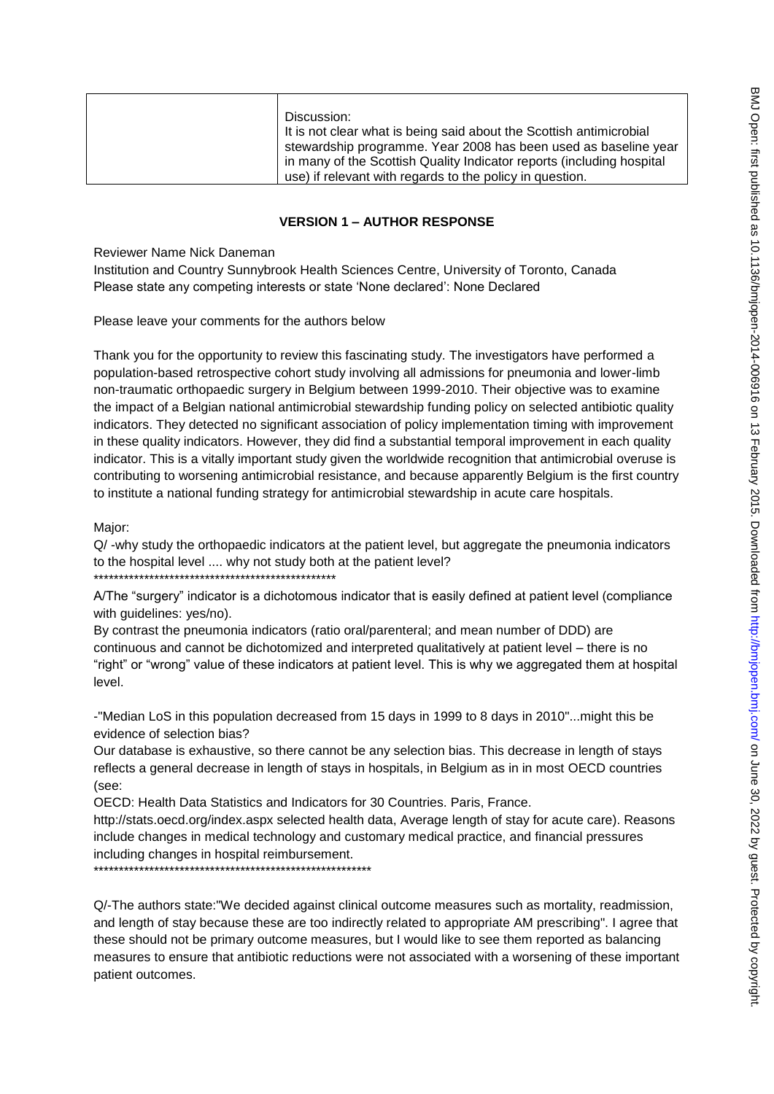| Discussion:                                                           |
|-----------------------------------------------------------------------|
| It is not clear what is being said about the Scottish antimicrobial   |
| stewardship programme. Year 2008 has been used as baseline year       |
| in many of the Scottish Quality Indicator reports (including hospital |
| use) if relevant with regards to the policy in question.              |

## **VERSION 1 – AUTHOR RESPONSE**

Reviewer Name Nick Daneman

Institution and Country Sunnybrook Health Sciences Centre, University of Toronto, Canada Please state any competing interests or state "None declared": None Declared

Please leave your comments for the authors below

Thank you for the opportunity to review this fascinating study. The investigators have performed a population-based retrospective cohort study involving all admissions for pneumonia and lower-limb non-traumatic orthopaedic surgery in Belgium between 1999-2010. Their objective was to examine the impact of a Belgian national antimicrobial stewardship funding policy on selected antibiotic quality indicators. They detected no significant association of policy implementation timing with improvement in these quality indicators. However, they did find a substantial temporal improvement in each quality indicator. This is a vitally important study given the worldwide recognition that antimicrobial overuse is contributing to worsening antimicrobial resistance, and because apparently Belgium is the first country to institute a national funding strategy for antimicrobial stewardship in acute care hospitals.

Major:

Q/ -why study the orthopaedic indicators at the patient level, but aggregate the pneumonia indicators to the hospital level .... why not study both at the patient level? \*\*\*\*\*\*\*\*\*\*\*\*\*\*\*\*\*\*\*\*\*\*\*\*\*\*\*\*\*\*\*\*\*\*\*\*\*\*\*\*\*\*\*\*\*\*\*\*

A/The "surgery" indicator is a dichotomous indicator that is easily defined at patient level (compliance with guidelines: yes/no).

By contrast the pneumonia indicators (ratio oral/parenteral; and mean number of DDD) are continuous and cannot be dichotomized and interpreted qualitatively at patient level – there is no "right" or "wrong" value of these indicators at patient level. This is why we aggregated them at hospital level.

-"Median LoS in this population decreased from 15 days in 1999 to 8 days in 2010"...might this be evidence of selection bias?

Our database is exhaustive, so there cannot be any selection bias. This decrease in length of stays reflects a general decrease in length of stays in hospitals, in Belgium as in in most OECD countries (see:

OECD: Health Data Statistics and Indicators for 30 Countries. Paris, France.

http://stats.oecd.org/index.aspx selected health data, Average length of stay for acute care). Reasons include changes in medical technology and customary medical practice, and financial pressures including changes in hospital reimbursement.

\*\*\*\*\*\*\*\*\*\*\*\*\*\*\*\*\*\*\*\*\*\*\*\*\*\*\*\*\*\*\*\*\*\*\*\*\*\*\*\*\*\*\*\*\*\*\*\*\*\*\*\*\*\*\*

Q/-The authors state:"We decided against clinical outcome measures such as mortality, readmission, and length of stay because these are too indirectly related to appropriate AM prescribing". I agree that these should not be primary outcome measures, but I would like to see them reported as balancing measures to ensure that antibiotic reductions were not associated with a worsening of these important patient outcomes.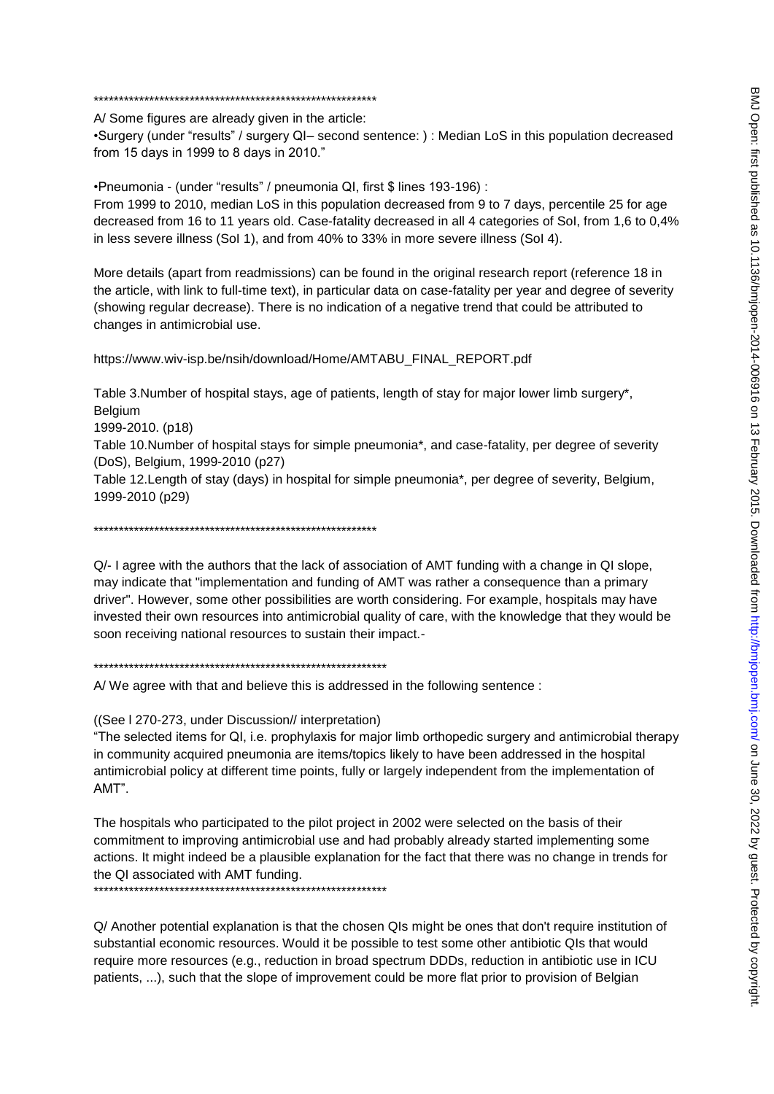#### 

A/Some figures are already given in the article:

•Surgery (under "results" / surgery QI- second sentence: ) : Median LoS in this population decreased from 15 days in 1999 to 8 days in 2010."

•Pneumonia - (under "results" / pneumonia QI, first \$ lines 193-196) :

From 1999 to 2010, median LoS in this population decreased from 9 to 7 days, percentile 25 for age decreased from 16 to 11 years old. Case-fatality decreased in all 4 categories of Sol, from 1,6 to 0.4% in less severe illness (Sol 1), and from 40% to 33% in more severe illness (Sol 4).

More details (apart from readmissions) can be found in the original research report (reference 18 in the article, with link to full-time text), in particular data on case-fatality per year and degree of severity (showing regular decrease). There is no indication of a negative trend that could be attributed to changes in antimicrobial use.

https://www.wiv-isp.be/nsih/download/Home/AMTABU\_FINAL\_REPORT.pdf

Table 3.Number of hospital stavs, age of patients, length of stay for major lower limb surgery\*. Belgium 1999-2010. (p18) Table 10.Number of hospital stavs for simple pneumonia\*, and case-fatality, per degree of severity (DoS), Belgium, 1999-2010 (p27) Table 12. Length of stay (days) in hospital for simple pneumonia\*, per degree of severity, Belgium, 1999-2010 (p29)

 $Q$  - I agree with the authors that the lack of association of AMT funding with a change in QI slope. may indicate that "implementation and funding of AMT was rather a consequence than a primary driver". However, some other possibilities are worth considering. For example, hospitals may have invested their own resources into antimicrobial quality of care, with the knowledge that they would be soon receiving national resources to sustain their impact.-

A/We agree with that and believe this is addressed in the following sentence :

((See I 270-273, under Discussion// interpretation)

"The selected items for QI, i.e. prophylaxis for major limb orthopedic surgery and antimicrobial therapy in community acquired pneumonia are items/topics likely to have been addressed in the hospital antimicrobial policy at different time points, fully or largely independent from the implementation of AMT".

The hospitals who participated to the pilot project in 2002 were selected on the basis of their commitment to improving antimicrobial use and had probably already started implementing some actions. It might indeed be a plausible explanation for the fact that there was no change in trends for the QI associated with AMT funding.

Q/ Another potential explanation is that the chosen QIs might be ones that don't require institution of substantial economic resources. Would it be possible to test some other antibiotic QIs that would require more resources (e.g., reduction in broad spectrum DDDs, reduction in antibiotic use in ICU patients, ...), such that the slope of improvement could be more flat prior to provision of Belgian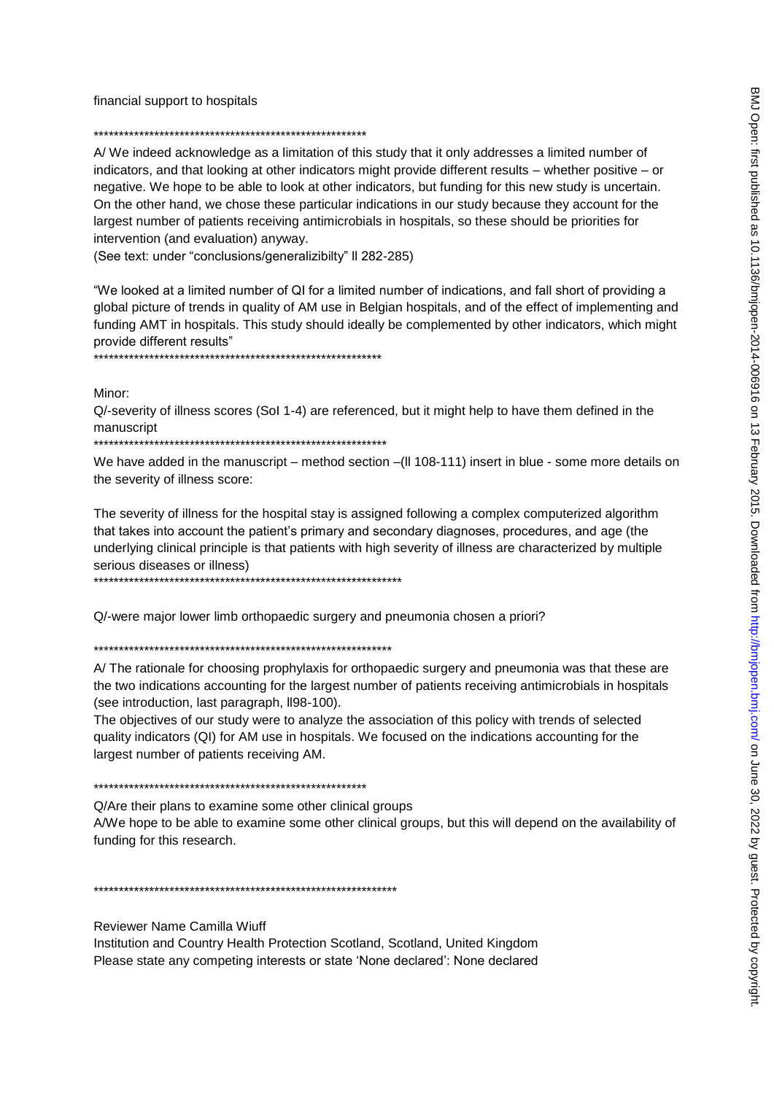financial support to hospitals

A/We indeed acknowledge as a limitation of this study that it only addresses a limited number of indicators, and that looking at other indicators might provide different results – whether positive – or negative. We hope to be able to look at other indicators, but funding for this new study is uncertain. On the other hand, we chose these particular indications in our study because they account for the largest number of patients receiving antimicrobials in hospitals, so these should be priorities for intervention (and evaluation) anyway.

(See text: under "conclusions/generalizibilty" Il 282-285)

"We looked at a limited number of QI for a limited number of indications, and fall short of providing a global picture of trends in quality of AM use in Belgian hospitals, and of the effect of implementing and funding AMT in hospitals. This study should ideally be complemented by other indicators, which might provide different results" 

Minor:

Q/-severity of illness scores (Sol 1-4) are referenced, but it might help to have them defined in the manuscript

We have added in the manuscript – method section –(II 108-111) insert in blue - some more details on the severity of illness score:

The severity of illness for the hospital stay is assigned following a complex computerized algorithm that takes into account the patient's primary and secondary diagnoses, procedures, and age (the underlying clinical principle is that patients with high severity of illness are characterized by multiple serious diseases or illness)

Q/-were major lower limb orthopaedic surgery and pneumonia chosen a priori?

A/The rationale for choosing prophylaxis for orthopaedic surgery and pneumonia was that these are the two indications accounting for the largest number of patients receiving antimicrobials in hospitals (see introduction, last paragraph, II98-100).

The objectives of our study were to analyze the association of this policy with trends of selected quality indicators (QI) for AM use in hospitals. We focused on the indications accounting for the largest number of patients receiving AM.

Q/Are their plans to examine some other clinical groups

A/We hope to be able to examine some other clinical groups, but this will depend on the availability of funding for this research.

**Reviewer Name Camilla Wiuff** 

Institution and Country Health Protection Scotland, Scotland, United Kingdom Please state any competing interests or state 'None declared': None declared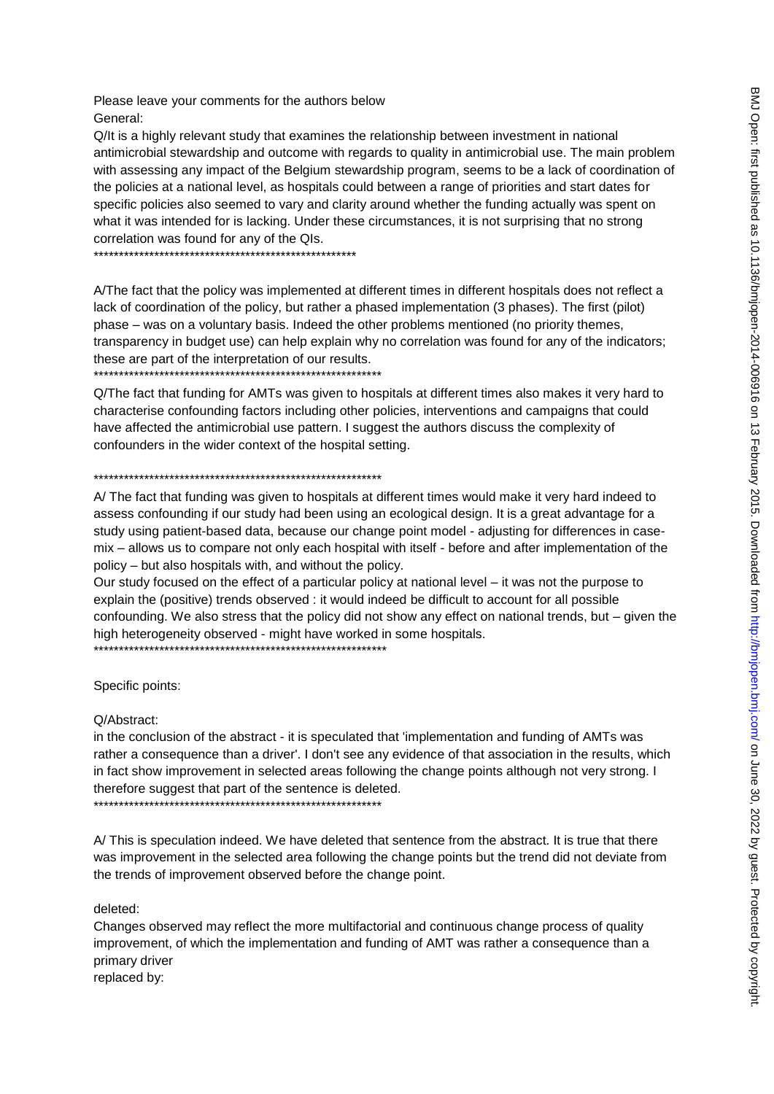Please leave your comments for the authors below General:

Q/It is a highly relevant study that examines the relationship between investment in national antimicrobial stewardship and outcome with regards to quality in antimicrobial use. The main problem with assessing any impact of the Belgium stewardship program, seems to be a lack of coordination of the policies at a national level, as hospitals could between a range of priorities and start dates for specific policies also seemed to vary and clarity around whether the funding actually was spent on what it was intended for is lacking. Under these circumstances, it is not surprising that no strong correlation was found for any of the QIs.

A/The fact that the policy was implemented at different times in different hospitals does not reflect a lack of coordination of the policy, but rather a phased implementation (3 phases). The first (pilot) phase – was on a voluntary basis. Indeed the other problems mentioned (no priority themes, transparency in budget use) can help explain why no correlation was found for any of the indicators; these are part of the interpretation of our results.

Q/The fact that funding for AMTs was given to hospitals at different times also makes it very hard to characterise confounding factors including other policies, interventions and campaigns that could have affected the antimicrobial use pattern. I suggest the authors discuss the complexity of confounders in the wider context of the hospital setting.

#### 

A/ The fact that funding was given to hospitals at different times would make it very hard indeed to assess confounding if our study had been using an ecological design. It is a great advantage for a study using patient-based data, because our change point model - adjusting for differences in casemix – allows us to compare not only each hospital with itself - before and after implementation of the policy – but also hospitals with, and without the policy.

Our study focused on the effect of a particular policy at national level – it was not the purpose to explain the (positive) trends observed : it would indeed be difficult to account for all possible confounding. We also stress that the policy did not show any effect on national trends, but – given the high heterogeneity observed - might have worked in some hospitals. 

Specific points:

Q/Abstract:

in the conclusion of the abstract - it is speculated that 'implementation and funding of AMTs was rather a consequence than a driver'. I don't see any evidence of that association in the results, which in fact show improvement in selected areas following the change points although not very strong. I therefore suggest that part of the sentence is deleted.

A/This is speculation indeed. We have deleted that sentence from the abstract. It is true that there was improvement in the selected area following the change points but the trend did not deviate from the trends of improvement observed before the change point.

deleted:

Changes observed may reflect the more multifactorial and continuous change process of quality improvement, of which the implementation and funding of AMT was rather a consequence than a primary driver

replaced by: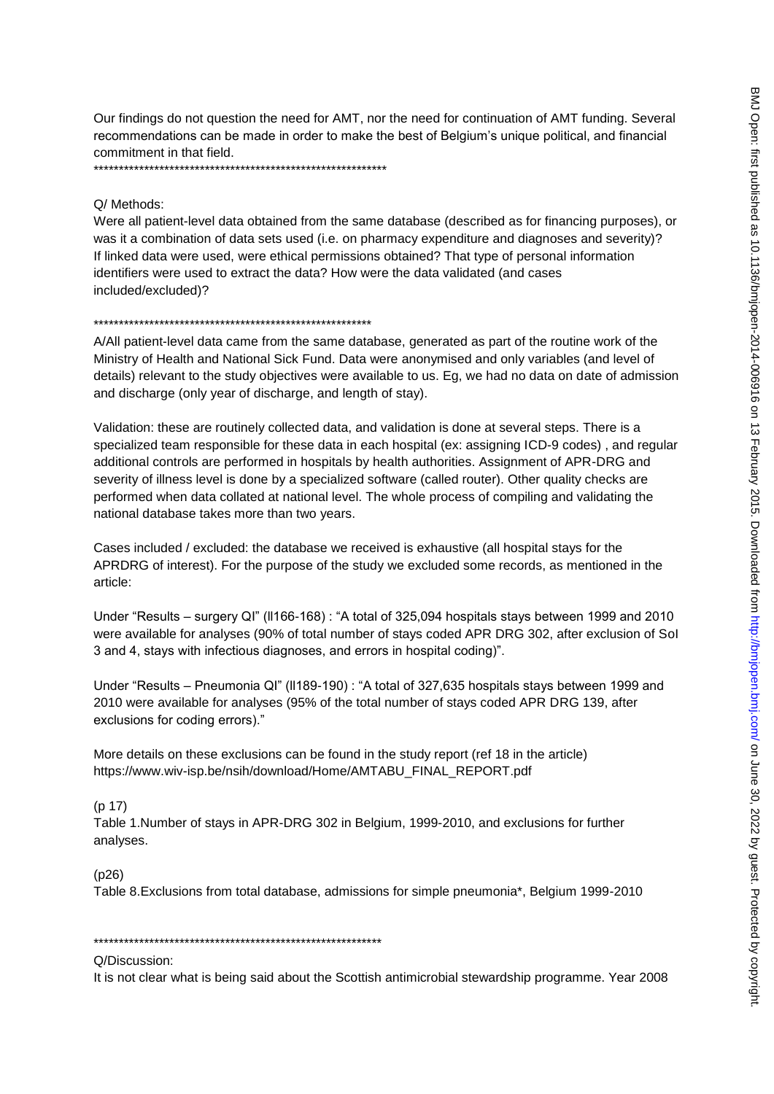Our findings do not question the need for AMT, nor the need for continuation of AMT funding. Several recommendations can be made in order to make the best of Belgium's unique political, and financial commitment in that field.

### O/ Methods:

Were all patient-level data obtained from the same database (described as for financing purposes), or was it a combination of data sets used (i.e. on pharmacy expenditure and diagnoses and severity)? If linked data were used, were ethical permissions obtained? That type of personal information identifiers were used to extract the data? How were the data validated (and cases included/excluded)?

#### 

A/All patient-level data came from the same database, generated as part of the routine work of the Ministry of Health and National Sick Fund. Data were anonymised and only variables (and level of details) relevant to the study objectives were available to us. Eg, we had no data on date of admission and discharge (only year of discharge, and length of stay).

Validation: these are routinely collected data, and validation is done at several steps. There is a specialized team responsible for these data in each hospital (ex: assigning ICD-9 codes), and regular additional controls are performed in hospitals by health authorities. Assignment of APR-DRG and severity of illness level is done by a specialized software (called router). Other quality checks are performed when data collated at national level. The whole process of compiling and validating the national database takes more than two years.

Cases included / excluded: the database we received is exhaustive (all hospital stays for the APRDRG of interest). For the purpose of the study we excluded some records, as mentioned in the article:

Under "Results – surgery QI" (II166-168) : "A total of 325,094 hospitals stays between 1999 and 2010 were available for analyses (90% of total number of stays coded APR DRG 302, after exclusion of Sol 3 and 4, stays with infectious diagnoses, and errors in hospital coding)".

Under "Results – Pneumonia QI" (II189-190) : "A total of 327,635 hospitals stays between 1999 and 2010 were available for analyses (95% of the total number of stays coded APR DRG 139, after exclusions for coding errors)."

More details on these exclusions can be found in the study report (ref 18 in the article) https://www.wiv-isp.be/nsih/download/Home/AMTABU\_FINAL\_REPORT.pdf

## $(p 17)$

Table 1.Number of stays in APR-DRG 302 in Belgium, 1999-2010, and exclusions for further analyses.

### $(p26)$

Table 8. Exclusions from total database, admissions for simple pneumonia\*, Belgium 1999-2010

#### 

O/Discussion:

It is not clear what is being said about the Scottish antimicrobial stewardship programme. Year 2008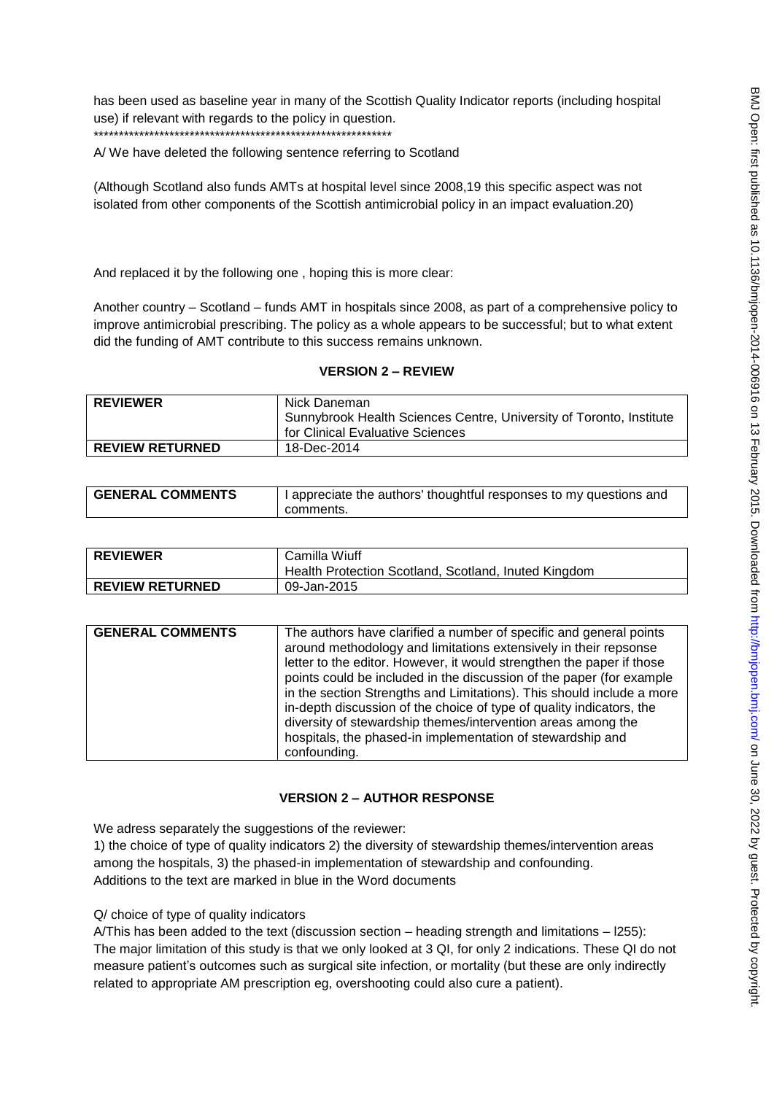has been used as baseline year in many of the Scottish Quality Indicator reports (including hospital use) if relevant with regards to the policy in question. \*\*\*\*\*\*\*\*\*\*\*\*\*\*\*\*\*\*\*\*\*\*\*\*\*\*\*\*\*\*\*\*\*\*\*\*\*\*\*\*\*\*\*\*\*\*\*\*\*\*\*\*\*\*\*\*\*\*\*

A/ We have deleted the following sentence referring to Scotland

(Although Scotland also funds AMTs at hospital level since 2008,19 this specific aspect was not isolated from other components of the Scottish antimicrobial policy in an impact evaluation.20)

And replaced it by the following one , hoping this is more clear:

Another country – Scotland – funds AMT in hospitals since 2008, as part of a comprehensive policy to improve antimicrobial prescribing. The policy as a whole appears to be successful; but to what extent did the funding of AMT contribute to this success remains unknown.

## **VERSION 2 – REVIEW**

| <b>REVIEWER</b>        | Nick Daneman                                                        |
|------------------------|---------------------------------------------------------------------|
|                        | Sunnybrook Health Sciences Centre, University of Toronto, Institute |
|                        | for Clinical Evaluative Sciences                                    |
| <b>REVIEW RETURNED</b> | 18-Dec-2014                                                         |

| <b>GENERAL COMMENTS</b> | I appreciate the authors' thoughtful responses to my questions and |
|-------------------------|--------------------------------------------------------------------|
|                         | comments.                                                          |

| <b>REVIEWER</b>        | Camilla Wiuff<br>Health Protection Scotland, Scotland, Inuted Kingdom |
|------------------------|-----------------------------------------------------------------------|
| <b>REVIEW RETURNED</b> | 09-Jan-2015                                                           |

| <b>GENERAL COMMENTS</b> |
|-------------------------|

## **VERSION 2 – AUTHOR RESPONSE**

We adress separately the suggestions of the reviewer:

1) the choice of type of quality indicators 2) the diversity of stewardship themes/intervention areas among the hospitals, 3) the phased-in implementation of stewardship and confounding. Additions to the text are marked in blue in the Word documents

Q/ choice of type of quality indicators

A/This has been added to the text (discussion section – heading strength and limitations – l255): The major limitation of this study is that we only looked at 3 QI, for only 2 indications. These QI do not measure patient"s outcomes such as surgical site infection, or mortality (but these are only indirectly related to appropriate AM prescription eg, overshooting could also cure a patient).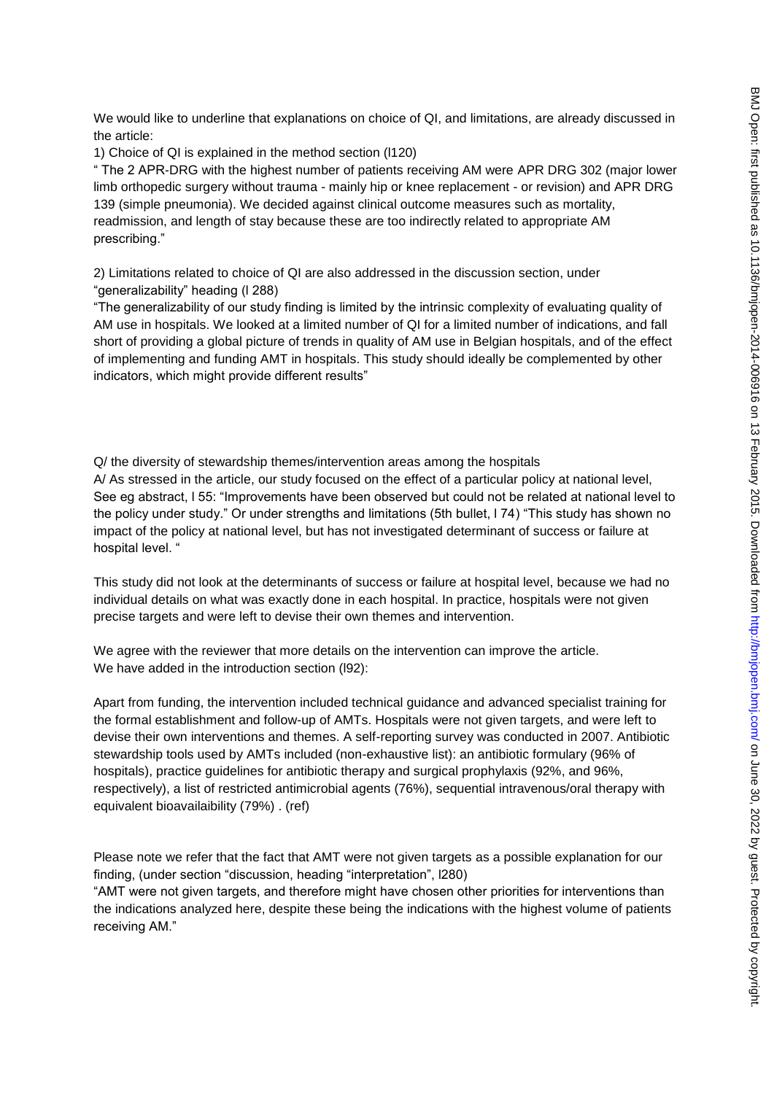We would like to underline that explanations on choice of QI, and limitations, are already discussed in the article:

1) Choice of QI is explained in the method section (l120)

" The 2 APR-DRG with the highest number of patients receiving AM were APR DRG 302 (major lower limb orthopedic surgery without trauma - mainly hip or knee replacement - or revision) and APR DRG 139 (simple pneumonia). We decided against clinical outcome measures such as mortality, readmission, and length of stay because these are too indirectly related to appropriate AM prescribing."

2) Limitations related to choice of QI are also addressed in the discussion section, under "generalizability" heading (l 288)

"The generalizability of our study finding is limited by the intrinsic complexity of evaluating quality of AM use in hospitals. We looked at a limited number of QI for a limited number of indications, and fall short of providing a global picture of trends in quality of AM use in Belgian hospitals, and of the effect of implementing and funding AMT in hospitals. This study should ideally be complemented by other indicators, which might provide different results"

Q/ the diversity of stewardship themes/intervention areas among the hospitals A/ As stressed in the article, our study focused on the effect of a particular policy at national level, See eg abstract, l 55: "Improvements have been observed but could not be related at national level to the policy under study." Or under strengths and limitations (5th bullet, l 74) "This study has shown no impact of the policy at national level, but has not investigated determinant of success or failure at hospital level. "

This study did not look at the determinants of success or failure at hospital level, because we had no individual details on what was exactly done in each hospital. In practice, hospitals were not given precise targets and were left to devise their own themes and intervention.

We agree with the reviewer that more details on the intervention can improve the article. We have added in the introduction section (l92):

Apart from funding, the intervention included technical guidance and advanced specialist training for the formal establishment and follow-up of AMTs. Hospitals were not given targets, and were left to devise their own interventions and themes. A self-reporting survey was conducted in 2007. Antibiotic stewardship tools used by AMTs included (non-exhaustive list): an antibiotic formulary (96% of hospitals), practice guidelines for antibiotic therapy and surgical prophylaxis (92%, and 96%, respectively), a list of restricted antimicrobial agents (76%), sequential intravenous/oral therapy with equivalent bioavailaibility (79%) . (ref)

Please note we refer that the fact that AMT were not given targets as a possible explanation for our finding, (under section "discussion, heading "interpretation", l280)

"AMT were not given targets, and therefore might have chosen other priorities for interventions than the indications analyzed here, despite these being the indications with the highest volume of patients receiving AM."